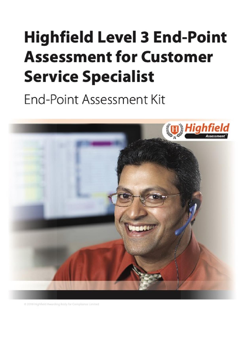# <span id="page-0-0"></span>**Highfield Level 3 End-Point Assessment for Customer Service Specialist**

End-Point Assessment Kit



C 2019 Highfield Awarding Body for Compliance Limited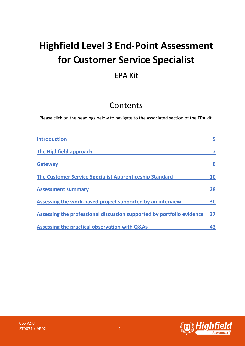# **Highfield Level 3 End-Point Assessment for Customer Service Specialist**

# EPA Kit

# Contents

Please click on the headings below to navigate to the associated section of the EPA kit.

| <b>Introduction</b>                                                   |    |
|-----------------------------------------------------------------------|----|
| The Highfield approach                                                |    |
| <b>Gateway</b>                                                        | 8  |
| The Customer Service Specialist Apprenticeship Standard               | 10 |
| <b>Assessment summary</b>                                             | 28 |
| Assessing the work-based project supported by an interview            | 30 |
| Assessing the professional discussion supported by portfolio evidence | 37 |
| Assessing the practical observation with Q&As                         | 43 |

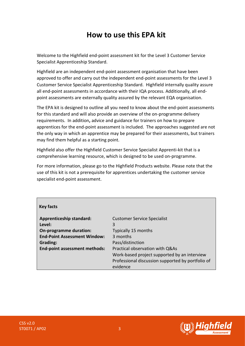# **How to use this EPA kit**

Welcome to the Highfield end-point assessment kit for the Level 3 Customer Service Specialist Apprenticeship Standard.

Highfield are an independent end-point assessment organisation that have been approved to offer and carry out the independent end-point assessments for the Level 3 Customer Service Specialist Apprenticeship Standard. Highfield internally quality assure all end-point assessments in accordance with their IQA process. Additionally, all endpoint assessments are externally quality assured by the relevant EQA organisation.

The EPA kit is designed to outline all you need to know about the end-point assessments for this standard and will also provide an overview of the on-programme delivery requirements. In addition**,** advice and guidance for trainers on how to prepare apprentices for the end-point assessment is included. The approaches suggested are not the only way in which an apprentice may be prepared for their assessments, but trainers may find them helpful as a starting point.

Highfield also offer the Highfield Customer Service Specialist Apprenti-kit that is a comprehensive learning resource, which is designed to be used on-programme.

For more information, please go to the Highfield Products website. Please note that the use of this kit is not a prerequisite for apprentices undertaking the customer service specialist end-point assessment.

#### **Key facts**

| <b>Apprenticeship standard:</b><br>Level: | <b>Customer Service Specialist</b><br>3           |
|-------------------------------------------|---------------------------------------------------|
| On-programme duration:                    | Typically 15 months                               |
| <b>End-Point Assessment Window:</b>       | 3 months                                          |
| <b>Grading:</b>                           | Pass/distinction                                  |
| End-point assessment methods:             | Practical observation with Q&As                   |
|                                           | Work-based project supported by an interview      |
|                                           | Professional discussion supported by portfolio of |
|                                           | evidence                                          |

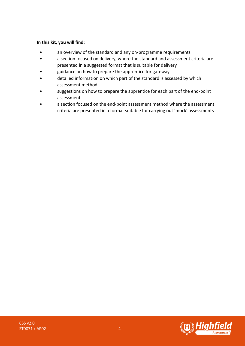#### **In this kit, you will find:**

- an overview of the standard and any on-programme requirements
- a section focused on delivery, where the standard and assessment criteria are presented in a suggested format that is suitable for delivery
- guidance on how to prepare the apprentice for gateway
- detailed information on which part of the standard is assessed by which assessment method
- suggestions on how to prepare the apprentice for each part of the end-point assessment
- a section focused on the end-point assessment method where the assessment criteria are presented in a format suitable for carrying out 'mock' assessments



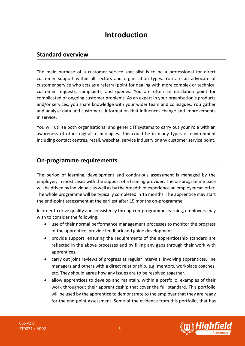# **Introduction**

### <span id="page-4-1"></span><span id="page-4-0"></span>**Standard overview**

The main purpose of a customer service specialist is to be a professional for direct customer support within all sectors and organisation types. You are an advocate of customer service who acts as a referral point for dealing with more complex or technical customer requests, complaints, and queries. You are often an escalation point for complicated or ongoing customer problems. As an expert in your organisation's products and/or services, you share knowledge with your wider team and colleagues. You gather and analyse data and customers' information that influences change and improvements in service.

You will utilise both organisational and generic IT systems to carry out your role with an awareness of other digital technologies. This could be in many types of environment including contact centres, retail, webchat, service industry or any customer service point.

### **On-programme requirements**

The period of learning, development and continuous assessment is managed by the employer, in most cases with the support of a training provider. The on-programme pace will be driven by individuals as well as by the breadth of experience an employer can offer. The whole programme will be typically completed in 15 months. The apprentice may start the end-point assessment at the earliest after 15 months on-programme.

In order to drive quality and consistency through on-programme learning, employers may wish to consider the following:

- use of their normal performance management processes to monitor the progress of the apprentice, provide feedback and guide development.
- provide support, ensuring the requirements of the apprenticeship standard are reflected in the above processes and by filling any gaps through their work with apprentices.
- carry out joint reviews of progress at regular intervals, involving apprentices, line managers and others with a direct relationship, e.g. mentors, workplace coaches, etc. They should agree how any issues are to be resolved together.
- allow apprentices to develop and maintain, within a portfolio, examples of their work throughout their apprenticeship that cover the full standard. This portfolio will be used by the apprentice to demonstrate to the employer that they are ready for the end-point assessment. Some of the evidence from this portfolio, that has

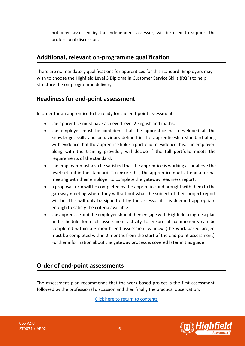not been assessed by the independent assessor, will be used to support the professional discussion.

### **Additional, relevant on-programme qualification**

There are no mandatory qualifications for apprentices for this standard. Employers may wish to choose the Highfield Level 3 Diploma in Customer Service Skills (RQF) to help structure the on-programme delivery.

### **Readiness for end-point assessment**

In order for an apprentice to be ready for the end-point assessments:

- the apprentice must have achieved level 2 English and maths.
- the employer must be confident that the apprentice has developed all the knowledge, skills and behaviours defined in the apprenticeship standard along with evidence that the apprentice holds a portfolio to evidence this. The employer, along with the training provider, will decide if the full portfolio meets the requirements of the standard.
- the employer must also be satisfied that the apprentice is working at or above the level set out in the standard. To ensure this, the apprentice must attend a formal meeting with their employer to complete the gateway readiness report.
- a proposal form will be completed by the apprentice and brought with them to the gateway meeting where they will set out what the subject of their project report will be. This will only be signed off by the assessor if it is deemed appropriate enough to satisfy the criteria available.
- the apprentice and the employer should then engage with Highfield to agree a plan and schedule for each assessment activity to ensure all components can be completed within a 3-month end-assessment window (the work-based project must be completed within 2 months from the start of the end-point assessment). Further information about the gateway process is covered later in this guide.

# **Order of end-point assessments**

The assessment plan recommends that the work-based project is the first assessment, followed by the professional discussion and then finally the practical observation.

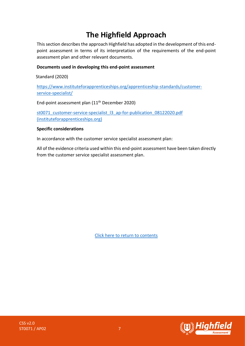# <span id="page-6-0"></span>**The Highfield Approach**

This section describes the approach Highfield has adopted in the development of this endpoint assessment in terms of its interpretation of the requirements of the end-point assessment plan and other relevant documents.

#### **Documents used in developing this end-point assessment**

Standard (2020)

[https://www.instituteforapprenticeships.org/apprenticeship-standards/customer](https://www.instituteforapprenticeships.org/apprenticeship-standards/customer-service-specialist/)[service-specialist/](https://www.instituteforapprenticeships.org/apprenticeship-standards/customer-service-specialist/)

End-point assessment plan (11<sup>th</sup> December 2020)

st0071 customer-service-specialist l3 ap-for-publication 08122020.pdf [\(instituteforapprenticeships.org\)](https://www.instituteforapprenticeships.org/media/4711/st0071_customer-service-specialist_l3_ap-for-publication_08122020.pdf)

#### **Specific considerations**

In accordance with the customer service specialist assessment plan:

All of the evidence criteria used within this end-point assessment have been taken directly from the customer service specialist assessment plan.

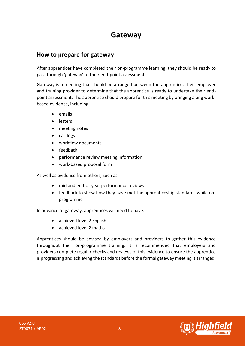# **Gateway**

### <span id="page-7-0"></span>**How to prepare for gateway**

After apprentices have completed their on-programme learning, they should be ready to pass through 'gateway' to their end-point assessment.

Gateway is a meeting that should be arranged between the apprentice, their employer and training provider to determine that the apprentice is ready to undertake their endpoint assessment. The apprentice should prepare for this meeting by bringing along workbased evidence, including:

- emails
- letters
- meeting notes
- call logs
- workflow documents
- feedback
- performance review meeting information
- work-based proposal form

As well as evidence from others, such as:

- mid and end-of-year performance reviews
- feedback to show how they have met the apprenticeship standards while onprogramme

In advance of gateway, apprentices will need to have:

- achieved level 2 English
- achieved level 2 maths

Apprentices should be advised by employers and providers to gather this evidence throughout their on-programme training. It is recommended that employers and providers complete regular checks and reviews of this evidence to ensure the apprentice is progressing and achieving the standards before the formal gateway meeting is arranged.

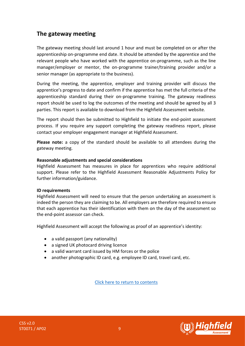# **The gateway meeting**

The gateway meeting should last around 1 hour and must be completed on or after the apprenticeship on-programme end date. It should be attended by the apprentice and the relevant people who have worked with the apprentice on-programme, such as the line manager/employer or mentor, the on-programme trainer/training provider and/or a senior manager (as appropriate to the business).

During the meeting, the apprentice, employer and training provider will discuss the apprentice's progress to date and confirm if the apprentice has met the full criteria of the apprenticeship standard during their on-programme training. The gateway readiness report should be used to log the outcomes of the meeting and should be agreed by all 3 parties. This report is available to download from the Highfield Assessment website.

The report should then be submitted to Highfield to initiate the end-point assessment process. If you require any support completing the gateway readiness report, please contact your employer engagement manager at Highfield Assessment.

**Please note:** a copy of the standard should be available to all attendees during the gateway meeting.

#### **Reasonable adjustments and special considerations**

Highfield Assessment has measures in place for apprentices who require additional support. Please refer to the Highfield Assessment Reasonable Adjustments Policy for further information/guidance.

#### **ID requirements**

Highfield Assessment will need to ensure that the person undertaking an assessment is indeed the person they are claiming to be. All employers are therefore required to ensure that each apprentice has their identification with them on the day of the assessment so the end-point assessor can check.

Highfield Assessment will accept the following as proof of an apprentice's identity:

- a valid passport (any nationality)
- a signed UK photocard driving licence
- a valid warrant card issued by HM forces or the police
- another photographic ID card, e.g. employee ID card, travel card, etc.



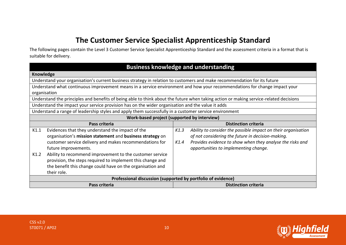# **The Customer Service Specialist Apprenticeship Standard**

The following pages contain the Level 3 Customer Service Specialist Apprenticeship Standard and the assessment criteria in a format that is suitable for delivery.

<span id="page-9-0"></span>

|                                                                                                                                       | <b>Business knowledge and understanding</b>                           |  |  |
|---------------------------------------------------------------------------------------------------------------------------------------|-----------------------------------------------------------------------|--|--|
| Knowledge                                                                                                                             |                                                                       |  |  |
| Understand your organisation's current business strategy in relation to customers and make recommendation for its future              |                                                                       |  |  |
| Understand what continuous improvement means in a service environment and how your recommendations for change impact your             |                                                                       |  |  |
|                                                                                                                                       | organisation                                                          |  |  |
| Understand the principles and benefits of being able to think about the future when taking action or making service-related decisions |                                                                       |  |  |
| Understand the impact your service provision has on the wider organisation and the value it adds                                      |                                                                       |  |  |
| Understand a range of leadership styles and apply them successfully in a customer service environment                                 |                                                                       |  |  |
|                                                                                                                                       | Work-based project (supported by interview)                           |  |  |
| Pass criteria                                                                                                                         | <b>Distinction criteria</b>                                           |  |  |
| Evidences that they understand the impact of the<br>K1.1                                                                              | K1.3<br>Ability to consider the possible impact on their organisation |  |  |
| organisation's mission statement and business strategy on                                                                             | of not considering the future in decision-making.                     |  |  |
| customer service delivery and makes recommendations for                                                                               | Provides evidence to show when they analyse the risks and<br>K1.4     |  |  |
| future improvements.                                                                                                                  | opportunities to implementing change.                                 |  |  |
| Ability to recommend improvement to the customer service<br>K1.2                                                                      |                                                                       |  |  |
| provision, the steps required to implement this change and                                                                            |                                                                       |  |  |
| the benefit this change could have on the organisation and                                                                            |                                                                       |  |  |
| their role.                                                                                                                           |                                                                       |  |  |
| Professional discussion (supported by portfolio of evidence)                                                                          |                                                                       |  |  |
| Pass criteria                                                                                                                         | <b>Distinction criteria</b>                                           |  |  |

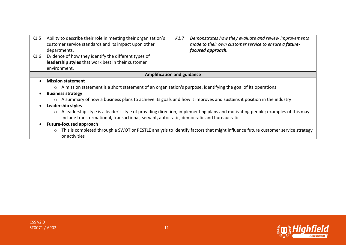| K1.5      | Ability to describe their role in meeting their organisation's<br>customer service standards and its impact upon other<br>departments.                                                                                                | K1.7 | Demonstrates how they evaluate and review improvements<br>made to their own customer service to ensure a future-<br>focused approach. |
|-----------|---------------------------------------------------------------------------------------------------------------------------------------------------------------------------------------------------------------------------------------|------|---------------------------------------------------------------------------------------------------------------------------------------|
| K1.6      | Evidence of how they identify the different types of                                                                                                                                                                                  |      |                                                                                                                                       |
|           | leadership styles that work best in their customer                                                                                                                                                                                    |      |                                                                                                                                       |
|           | environment.                                                                                                                                                                                                                          |      |                                                                                                                                       |
|           | <b>Amplification and guidance</b>                                                                                                                                                                                                     |      |                                                                                                                                       |
| $\bullet$ | <b>Mission statement</b>                                                                                                                                                                                                              |      |                                                                                                                                       |
|           | ○ A mission statement is a short statement of an organisation's purpose, identifying the goal of its operations                                                                                                                       |      |                                                                                                                                       |
|           | <b>Business strategy</b>                                                                                                                                                                                                              |      |                                                                                                                                       |
|           | A summary of how a business plans to achieve its goals and how it improves and sustains it position in the industry<br>$\circ$                                                                                                        |      |                                                                                                                                       |
|           | Leadership styles                                                                                                                                                                                                                     |      |                                                                                                                                       |
|           | A leadership style is a leader's style of providing direction, implementing plans and motivating people; examples of this may<br>$\circ$<br>include transformational, transactional, servant, autocratic, democratic and bureaucratic |      |                                                                                                                                       |
|           | <b>Future-focused approach</b>                                                                                                                                                                                                        |      |                                                                                                                                       |
|           | $\circ$<br>or activities                                                                                                                                                                                                              |      | This is completed through a SWOT or PESTLE analysis to identify factors that might influence future customer service strategy         |

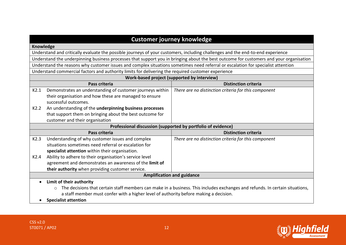|                                                                                                                                  |                                                                                                                                        | <b>Customer journey knowledge</b>                                                                                            |  |
|----------------------------------------------------------------------------------------------------------------------------------|----------------------------------------------------------------------------------------------------------------------------------------|------------------------------------------------------------------------------------------------------------------------------|--|
| Knowledge                                                                                                                        |                                                                                                                                        |                                                                                                                              |  |
|                                                                                                                                  | Understand and critically evaluate the possible journeys of your customers, including challenges and the end-to-end experience         |                                                                                                                              |  |
|                                                                                                                                  | Understand the underpinning business processes that support you in bringing about the best outcome for customers and your organisation |                                                                                                                              |  |
| Understand the reasons why customer issues and complex situations sometimes need referral or escalation for specialist attention |                                                                                                                                        |                                                                                                                              |  |
|                                                                                                                                  | Understand commercial factors and authority limits for delivering the required customer experience                                     |                                                                                                                              |  |
|                                                                                                                                  | Work-based project (supported by interview)                                                                                            |                                                                                                                              |  |
|                                                                                                                                  | Pass criteria                                                                                                                          | <b>Distinction criteria</b>                                                                                                  |  |
| K2.1                                                                                                                             | Demonstrates an understanding of customer journeys within                                                                              | There are no distinction criteria for this component                                                                         |  |
|                                                                                                                                  | their organisation and how these are managed to ensure                                                                                 |                                                                                                                              |  |
|                                                                                                                                  | successful outcomes.                                                                                                                   |                                                                                                                              |  |
| K2.2                                                                                                                             | An understanding of the underpinning business processes                                                                                |                                                                                                                              |  |
|                                                                                                                                  | that support them on bringing about the best outcome for                                                                               |                                                                                                                              |  |
|                                                                                                                                  | customer and their organisation                                                                                                        |                                                                                                                              |  |
|                                                                                                                                  |                                                                                                                                        | Professional discussion (supported by portfolio of evidence)                                                                 |  |
|                                                                                                                                  | Pass criteria                                                                                                                          | <b>Distinction criteria</b>                                                                                                  |  |
| K2.3                                                                                                                             | Understanding of why customer issues and complex                                                                                       | There are no distinction criteria for this component                                                                         |  |
|                                                                                                                                  | situations sometimes need referral or escalation for                                                                                   |                                                                                                                              |  |
|                                                                                                                                  | specialist attention within their organisation.                                                                                        |                                                                                                                              |  |
| K2.4                                                                                                                             | Ability to adhere to their organisation's service level                                                                                |                                                                                                                              |  |
|                                                                                                                                  | agreement and demonstrates an awareness of the limit of                                                                                |                                                                                                                              |  |
|                                                                                                                                  | their authority when providing customer service.                                                                                       |                                                                                                                              |  |
|                                                                                                                                  | <b>Amplification and guidance</b>                                                                                                      |                                                                                                                              |  |
| $\bullet$                                                                                                                        | Limit of their authority                                                                                                               |                                                                                                                              |  |
|                                                                                                                                  | O                                                                                                                                      | The decisions that certain staff members can make in a business. This includes exchanges and refunds. In certain situations, |  |
|                                                                                                                                  | a staff member must confer with a higher level of authority before making a decision.                                                  |                                                                                                                              |  |
|                                                                                                                                  | <b>Specialist attention</b>                                                                                                            |                                                                                                                              |  |

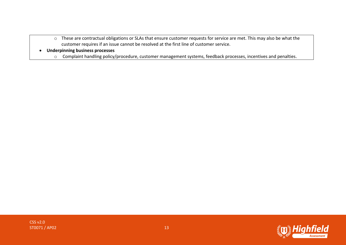- o These are contractual obligations or SLAs that ensure customer requests for service are met. This may also be what the customer requires if an issue cannot be resolved at the first line of customer service.
- **Underpinning business processes**
	- o Complaint handling policy/procedure, customer management systems, feedback processes, incentives and penalties.

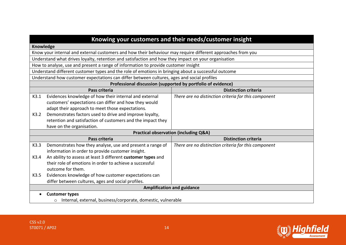|           |                                                                                                             | Knowing your customers and their needs/customer insight      |  |
|-----------|-------------------------------------------------------------------------------------------------------------|--------------------------------------------------------------|--|
| Knowledge |                                                                                                             |                                                              |  |
|           | Know your internal and external customers and how their behaviour may require different approaches from you |                                                              |  |
|           | Understand what drives loyalty, retention and satisfaction and how they impact on your organisation         |                                                              |  |
|           | How to analyse, use and present a range of information to provide customer insight                          |                                                              |  |
|           | Understand different customer types and the role of emotions in bringing about a successful outcome         |                                                              |  |
|           | Understand how customer expectations can differ between cultures, ages and social profiles                  |                                                              |  |
|           |                                                                                                             | Professional discussion (supported by portfolio of evidence) |  |
|           | Pass criteria                                                                                               | <b>Distinction criteria</b>                                  |  |
| K3.1      | Evidences knowledge of how their internal and external                                                      | There are no distinction criteria for this component         |  |
|           | customers' expectations can differ and how they would                                                       |                                                              |  |
|           | adapt their approach to meet those expectations.                                                            |                                                              |  |
| K3.2      | Demonstrates factors used to drive and improve loyalty,                                                     |                                                              |  |
|           | retention and satisfaction of customers and the impact they                                                 |                                                              |  |
|           | have on the organisation.                                                                                   |                                                              |  |
|           |                                                                                                             | <b>Practical observation (including Q&amp;A)</b>             |  |
|           | Pass criteria                                                                                               | <b>Distinction criteria</b>                                  |  |
| K3.3      | Demonstrates how they analyse, use and present a range of                                                   | There are no distinction criteria for this component         |  |
|           | information in order to provide customer insight.                                                           |                                                              |  |
| K3.4      | An ability to assess at least 3 different customer types and                                                |                                                              |  |
|           | their role of emotions in order to achieve a successful                                                     |                                                              |  |
|           | outcome for them.                                                                                           |                                                              |  |
| K3.5      | Evidences knowledge of how customer expectations can                                                        |                                                              |  |
|           | differ between cultures, ages and social profiles.                                                          |                                                              |  |
|           |                                                                                                             | <b>Amplification and guidance</b>                            |  |
|           | <b>Customer types</b>                                                                                       |                                                              |  |
|           | Internal, external, business/corporate, domestic, vulnerable<br>$\circ$                                     |                                                              |  |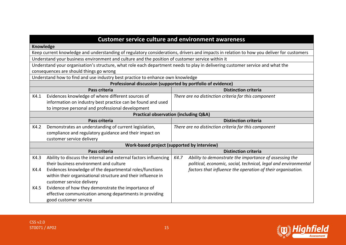|                                                                                                                                         | <b>Customer service culture and environment awareness</b>       |  |
|-----------------------------------------------------------------------------------------------------------------------------------------|-----------------------------------------------------------------|--|
| <b>Knowledge</b>                                                                                                                        |                                                                 |  |
| Keep current knowledge and understanding of regulatory considerations, drivers and impacts in relation to how you deliver for customers |                                                                 |  |
| Understand your business environment and culture and the position of customer service within it                                         |                                                                 |  |
| Understand your organisation's structure, what role each department needs to play in delivering customer service and what the           |                                                                 |  |
| consequences are should things go wrong                                                                                                 |                                                                 |  |
| Understand how to find and use industry best practice to enhance own knowledge                                                          |                                                                 |  |
|                                                                                                                                         | Professional discussion (supported by portfolio of evidence)    |  |
| Pass criteria                                                                                                                           | <b>Distinction criteria</b>                                     |  |
| K4.1<br>Evidences knowledge of where different sources of                                                                               | There are no distinction criteria for this component            |  |
| information on industry best practice can be found and used                                                                             |                                                                 |  |
| to improve personal and professional development                                                                                        |                                                                 |  |
|                                                                                                                                         | <b>Practical observation (including Q&amp;A)</b>                |  |
| Pass criteria                                                                                                                           | <b>Distinction criteria</b>                                     |  |
| Demonstrates an understanding of current legislation,<br>K4.2                                                                           | There are no distinction criteria for this component            |  |
| compliance and regulatory guidance and their impact on                                                                                  |                                                                 |  |
| customer service delivery                                                                                                               |                                                                 |  |
|                                                                                                                                         | Work-based project (supported by interview)                     |  |
| Pass criteria                                                                                                                           | <b>Distinction criteria</b>                                     |  |
| K4.3<br>Ability to discuss the internal and external factors influencing                                                                | Ability to demonstrate the importance of assessing the<br>K4.7  |  |
| their business environment and culture                                                                                                  | political, economic, social, technical, legal and environmental |  |
| Evidences knowledge of the departmental roles/functions<br>K4.4                                                                         | factors that influence the operation of their organisation.     |  |
| within their organisational structure and their influence in                                                                            |                                                                 |  |
| customer service delivery                                                                                                               |                                                                 |  |
| Evidence of how they demonstrate the importance of<br>K4.5                                                                              |                                                                 |  |
| effective communication among departments in providing                                                                                  |                                                                 |  |
| good customer service                                                                                                                   |                                                                 |  |

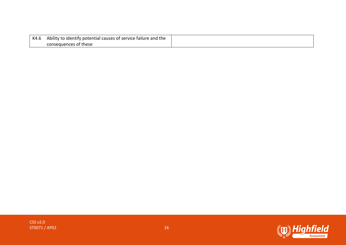| K4.6 | Ability to identify potential causes of service failure and the |
|------|-----------------------------------------------------------------|
|      | consequences of these                                           |

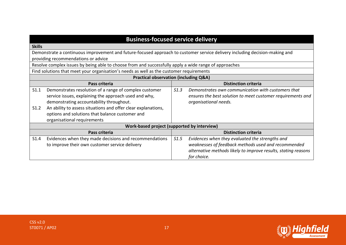|                                                                                                                             | <b>Business-focused service delivery</b>                       |
|-----------------------------------------------------------------------------------------------------------------------------|----------------------------------------------------------------|
| <b>Skills</b>                                                                                                               |                                                                |
| Demonstrate a continuous improvement and future-focused approach to customer service delivery including decision-making and |                                                                |
| providing recommendations or advice                                                                                         |                                                                |
| Resolve complex issues by being able to choose from and successfully apply a wide range of approaches                       |                                                                |
| Find solutions that meet your organisation's needs as well as the customer requirements                                     |                                                                |
|                                                                                                                             | <b>Practical observation (including Q&amp;A)</b>               |
| Pass criteria                                                                                                               | <b>Distinction criteria</b>                                    |
| S1.1<br>Demonstrates resolution of a range of complex customer                                                              | S1.3<br>Demonstrates own communication with customers that     |
| service issues, explaining the approach used and why,                                                                       | ensures the best solution to meet customer requirements and    |
| demonstrating accountability throughout.                                                                                    | organisational needs.                                          |
| An ability to assess situations and offer clear explanations,<br>S1.2                                                       |                                                                |
| options and solutions that balance customer and                                                                             |                                                                |
| organisational requirements                                                                                                 |                                                                |
|                                                                                                                             | Work-based project (supported by interview)                    |
| Pass criteria                                                                                                               | <b>Distinction criteria</b>                                    |
| Evidences when they made decisions and recommendations<br>S1.4                                                              | S1.5<br>Evidences when they evaluated the strengths and        |
| to improve their own customer service delivery                                                                              | weaknesses of feedback methods used and recommended            |
|                                                                                                                             | alternative methods likely to improve results, stating reasons |
|                                                                                                                             | for choice.                                                    |

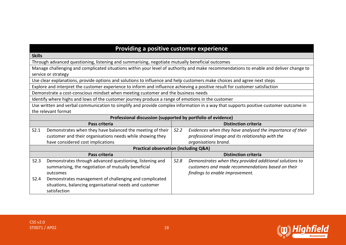# **Providing a positive customer experience**

#### **Skills**

Through advanced questioning, listening and summarising, negotiate mutually beneficial outcomes

Manage challenging and complicated situations within your level of authority and make recommendations to enable and deliver change to service or strategy

Use clear explanations, provide options and solutions to influence and help customers make choices and agree next steps

Explore and interpret the customer experience to inform and influence achieving a positive result for customer satisfaction

Demonstrate a cost-conscious mindset when meeting customer and the business needs

Identify where highs and lows of the customer journey produce a range of emotions in the customer

Use written and verbal communication to simplify and provide complex information in a way that supports positive customer outcome in the relevant format

|      | .<br>Pass criteria                                                                                                                |      | <b>Distinction criteria</b>                                                                                                                     |
|------|-----------------------------------------------------------------------------------------------------------------------------------|------|-------------------------------------------------------------------------------------------------------------------------------------------------|
| S2.1 | Demonstrates when they have balanced the meeting of their                                                                         | S2.2 | Evidences when they have analysed the importance of their                                                                                       |
|      | customer and their organisations needs while showing they                                                                         |      | professional image and its relationship with the                                                                                                |
|      | have considered cost implications                                                                                                 |      | organisations brand.                                                                                                                            |
|      | <b>Practical observation (including Q&amp;A)</b>                                                                                  |      |                                                                                                                                                 |
|      | Pass criteria                                                                                                                     |      | <b>Distinction criteria</b>                                                                                                                     |
| S2.3 | Demonstrates through advanced questioning, listening and<br>summarising, the negotiation of mutually beneficial<br>outcomes       | S2.8 | Demonstrates when they provided additional solutions to<br>customers and made recommendations based on their<br>findings to enable improvement. |
| S2.4 | Demonstrates management of challenging and complicated<br>situations, balancing organisational needs and customer<br>satisfaction |      |                                                                                                                                                 |

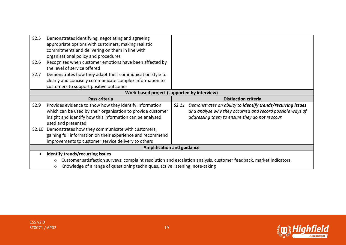| S2.5<br>S2.6     | Demonstrates identifying, negotiating and agreeing<br>appropriate options with customers, making realistic<br>commitments and delivering on them in line with<br>organisational policy and procedures<br>Recognises when customer emotions have been affected by |                                                                                                                   |
|------------------|------------------------------------------------------------------------------------------------------------------------------------------------------------------------------------------------------------------------------------------------------------------|-------------------------------------------------------------------------------------------------------------------|
| S <sub>2.7</sub> | the level of service offered<br>Demonstrates how they adapt their communication style to                                                                                                                                                                         |                                                                                                                   |
|                  | clearly and concisely communicate complex information to<br>customers to support positive outcomes                                                                                                                                                               |                                                                                                                   |
|                  |                                                                                                                                                                                                                                                                  | Work-based project (supported by interview)                                                                       |
|                  | Pass criteria                                                                                                                                                                                                                                                    | <b>Distinction criteria</b>                                                                                       |
| S2.9             | Provides evidence to show how they identify information                                                                                                                                                                                                          | Demonstrates an ability to identify trends/recurring issues<br>S2.11                                              |
|                  | which can be used by their organisation to provide customer                                                                                                                                                                                                      | and analyse why they occurred and record possible ways of                                                         |
|                  | insight and identify how this information can be analysed,                                                                                                                                                                                                       | addressing them to ensure they do not reoccur.                                                                    |
|                  |                                                                                                                                                                                                                                                                  |                                                                                                                   |
|                  | used and presented                                                                                                                                                                                                                                               |                                                                                                                   |
| S2.10            | Demonstrates how they communicate with customers,                                                                                                                                                                                                                |                                                                                                                   |
|                  | gaining full information on their experience and recommend                                                                                                                                                                                                       |                                                                                                                   |
|                  | improvements to customer service delivery to others                                                                                                                                                                                                              |                                                                                                                   |
|                  | <b>Amplification and guidance</b>                                                                                                                                                                                                                                |                                                                                                                   |
|                  | <b>Identify trends/recurring issues</b>                                                                                                                                                                                                                          |                                                                                                                   |
|                  | $\circ$                                                                                                                                                                                                                                                          | Customer satisfaction surveys, complaint resolution and escalation analysis, customer feedback, market indicators |

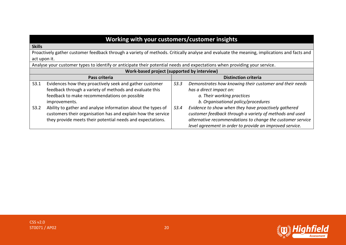| Working with your customers/customer insights |  |
|-----------------------------------------------|--|
|-----------------------------------------------|--|

#### **Skills**

Proactively gather customer feedback through a variety of methods. Critically analyse and evaluate the meaning, implications and facts and act upon it.

Analyse your customer types to identify or anticipate their potential needs and expectations when providing your service.

|      | Work-based project (supported by interview)                  |      |                                                            |
|------|--------------------------------------------------------------|------|------------------------------------------------------------|
|      | Pass criteria                                                |      | <b>Distinction criteria</b>                                |
| S3.1 | Evidences how they proactively seek and gather customer      | S3.3 | Demonstrates how knowing their customer and their needs    |
|      | feedback through a variety of methods and evaluate this      |      | has a direct impact on:                                    |
|      | feedback to make recommendations on possible                 |      | a. Their working practices                                 |
|      | improvements.                                                |      | b. Organisational policy/procedures                        |
| S3.2 | Ability to gather and analyse information about the types of | S3.4 | Evidence to show when they have proactively gathered       |
|      | customers their organisation has and explain how the service |      | customer feedback through a variety of methods and used    |
|      | they provide meets their potential needs and expectations.   |      | alternative recommendations to change the customer service |
|      |                                                              |      | level agreement in order to provide an improved service.   |



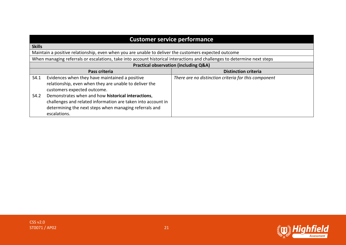| <b>Customer service performance</b>                                                                                      |                                                                                                                                                                              |                                                      |
|--------------------------------------------------------------------------------------------------------------------------|------------------------------------------------------------------------------------------------------------------------------------------------------------------------------|------------------------------------------------------|
| <b>Skills</b>                                                                                                            |                                                                                                                                                                              |                                                      |
|                                                                                                                          | Maintain a positive relationship, even when you are unable to deliver the customers expected outcome                                                                         |                                                      |
| When managing referrals or escalations, take into account historical interactions and challenges to determine next steps |                                                                                                                                                                              |                                                      |
| <b>Practical observation (including Q&amp;A)</b>                                                                         |                                                                                                                                                                              |                                                      |
|                                                                                                                          | Pass criteria                                                                                                                                                                | <b>Distinction criteria</b>                          |
| S4.1                                                                                                                     | Evidences when they have maintained a positive<br>relationship, even when they are unable to deliver the<br>customers expected outcome.                                      | There are no distinction criteria for this component |
| S4.2<br>escalations.                                                                                                     | Demonstrates when and how historical interactions,<br>challenges and related information are taken into account in<br>determining the next steps when managing referrals and |                                                      |



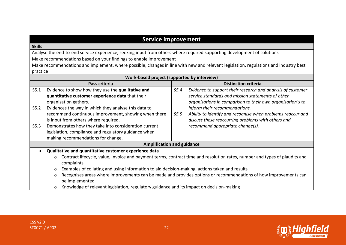# **Service improvement**

#### **Skills**

Analyse the end-to-end service experience, seeking input from others where required supporting development of solutions

Make recommendations based on your findings to enable improvement

Make recommendations and implement, where possible, changes in line with new and relevant legislation, regulations and industry best practice

| Work-based project (supported by interview)           |                                                                                                                                                      |                                                                                                                                                                                        |  |
|-------------------------------------------------------|------------------------------------------------------------------------------------------------------------------------------------------------------|----------------------------------------------------------------------------------------------------------------------------------------------------------------------------------------|--|
|                                                       | Pass criteria                                                                                                                                        | <b>Distinction criteria</b>                                                                                                                                                            |  |
| S5.1                                                  | Evidence to show how they use the qualitative and<br>quantitative customer experience data that their<br>organisation gathers.                       | Evidence to support their research and analysis of customer<br>S5.4<br>service standards and mission statements of other<br>organisations in comparison to their own organisation's to |  |
| S5.2                                                  | Evidences the way in which they analyse this data to<br>recommend continuous improvement, showing when there<br>is input from others where required. | inform their recommendations.<br>Ability to identify and recognise when problems reoccur and<br>S5.5<br>discuss these reoccurring problems with others and                             |  |
| S5.3                                                  | Demonstrates how they take into consideration current<br>legislation, compliance and regulatory guidance when<br>making recommendations for change.  | recommend appropriate change(s).                                                                                                                                                       |  |
| <b>Amplification and guidance</b>                     |                                                                                                                                                      |                                                                                                                                                                                        |  |
| Qualitative and quantitative customer experience data |                                                                                                                                                      |                                                                                                                                                                                        |  |
|                                                       | Contract lifecycle, value, invoice and payment terms, contract time and resolution rates, number and types of plaudits and<br>$\circ$<br>complaints  |                                                                                                                                                                                        |  |
|                                                       | Examples of collating and using information to aid decision-making, actions taken and results<br>$\circ$                                             |                                                                                                                                                                                        |  |
|                                                       | Recognises areas where improvements can be made and provides options or recommendations of how improvements can<br>$\circ$<br>be implemented         |                                                                                                                                                                                        |  |
|                                                       | Knowledge of relevant legislation, regulatory guidance and its impact on decision-making<br>$\circ$                                                  |                                                                                                                                                                                        |  |



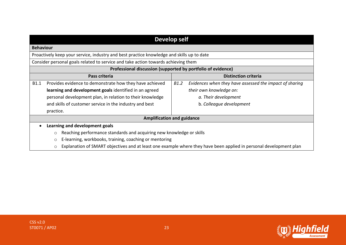| <b>Develop self</b>                                                                                                     |                                                                 |  |
|-------------------------------------------------------------------------------------------------------------------------|-----------------------------------------------------------------|--|
| <b>Behaviour</b>                                                                                                        |                                                                 |  |
| Proactively keep your service, industry and best practice knowledge and skills up to date                               |                                                                 |  |
| Consider personal goals related to service and take action towards achieving them                                       |                                                                 |  |
| Professional discussion (supported by portfolio of evidence)                                                            |                                                                 |  |
| Pass criteria                                                                                                           | <b>Distinction criteria</b>                                     |  |
| Provides evidence to demonstrate how they have achieved<br><b>B1.1</b>                                                  | B1.2<br>Evidences when they have assessed the impact of sharing |  |
| learning and development goals identified in an agreed                                                                  | their own knowledge on:                                         |  |
| personal development plan, in relation to their knowledge                                                               | a. Their development                                            |  |
| and skills of customer service in the industry and best                                                                 | b. Colleague development                                        |  |
| practice.                                                                                                               |                                                                 |  |
|                                                                                                                         | <b>Amplification and guidance</b>                               |  |
| Learning and development goals                                                                                          |                                                                 |  |
| Reaching performance standards and acquiring new knowledge or skills<br>$\circ$                                         |                                                                 |  |
| E-learning, workbooks, training, coaching or mentoring<br>$\circ$                                                       |                                                                 |  |
| Explanation of SMART objectives and at least one example where they have been applied in personal development plan<br>O |                                                                 |  |



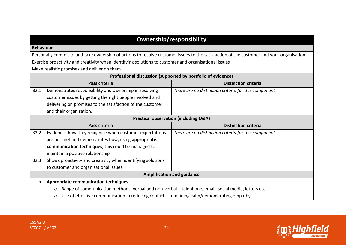| <b>Ownership/responsibility</b> |                                                                                                           |                                                                                                                                         |  |
|---------------------------------|-----------------------------------------------------------------------------------------------------------|-----------------------------------------------------------------------------------------------------------------------------------------|--|
|                                 | <b>Behaviour</b>                                                                                          |                                                                                                                                         |  |
|                                 |                                                                                                           | Personally commit to and take ownership of actions to resolve customer issues to the satisfaction of the customer and your organisation |  |
|                                 | Exercise proactivity and creativity when identifying solutions to customer and organisational issues      |                                                                                                                                         |  |
|                                 | Make realistic promises and deliver on them                                                               |                                                                                                                                         |  |
|                                 |                                                                                                           | Professional discussion (supported by portfolio of evidence)                                                                            |  |
|                                 | Pass criteria                                                                                             | <b>Distinction criteria</b>                                                                                                             |  |
| B2.1                            | Demonstrates responsibility and ownership in resolving                                                    | There are no distinction criteria for this component                                                                                    |  |
|                                 | customer issues by getting the right people involved and                                                  |                                                                                                                                         |  |
|                                 | delivering on promises to the satisfaction of the customer                                                |                                                                                                                                         |  |
|                                 | and their organisation.                                                                                   |                                                                                                                                         |  |
|                                 |                                                                                                           | <b>Practical observation (including Q&amp;A)</b>                                                                                        |  |
|                                 | Pass criteria                                                                                             | <b>Distinction criteria</b>                                                                                                             |  |
| B <sub>2.2</sub>                | Evidences how they recognise when customer expectations                                                   | There are no distinction criteria for this component                                                                                    |  |
|                                 | are not met and demonstrates how, using appropriate.                                                      |                                                                                                                                         |  |
|                                 | communication techniques, this could be managed to                                                        |                                                                                                                                         |  |
|                                 | maintain a positive relationship                                                                          |                                                                                                                                         |  |
| <b>B2.3</b>                     | Shows proactivity and creativity when identifying solutions                                               |                                                                                                                                         |  |
|                                 | to customer and organisational issues                                                                     |                                                                                                                                         |  |
|                                 | <b>Amplification and guidance</b>                                                                         |                                                                                                                                         |  |
|                                 | <b>Appropriate communication techniques</b>                                                               |                                                                                                                                         |  |
|                                 | Range of communication methods; verbal and non-verbal - telephone, email, social media, letters etc.<br>O |                                                                                                                                         |  |
|                                 | Use of effective communication in reducing conflict - remaining calm/demonstrating empathy<br>O           |                                                                                                                                         |  |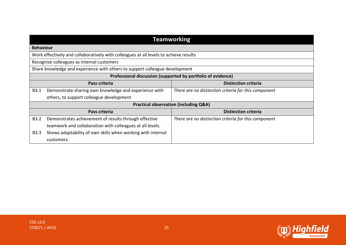|                  | <b>Teamworking</b>                                                                    |                                                      |  |
|------------------|---------------------------------------------------------------------------------------|------------------------------------------------------|--|
| <b>Behaviour</b> |                                                                                       |                                                      |  |
|                  | Work effectively and collaboratively with colleagues at all levels to achieve results |                                                      |  |
|                  | Recognise colleagues as internal customers                                            |                                                      |  |
|                  | Share knowledge and experience with others to support colleague development           |                                                      |  |
|                  | Professional discussion (supported by portfolio of evidence)                          |                                                      |  |
| Pass criteria    |                                                                                       | <b>Distinction criteria</b>                          |  |
| B3.1             | Demonstrate sharing own knowledge and experience with                                 | There are no distinction criteria for this component |  |
|                  | others, to support colleague development                                              |                                                      |  |
|                  | <b>Practical observation (including Q&amp;A)</b>                                      |                                                      |  |
|                  | Pass criteria                                                                         | <b>Distinction criteria</b>                          |  |
| <b>B3.2</b>      | Demonstrates achievement of results through effective                                 | There are no distinction criteria for this component |  |
|                  | teamwork and collaboration with colleagues at all levels.                             |                                                      |  |
| <b>B3.3</b>      | Shows adaptability of own skills when working with internal                           |                                                      |  |
|                  | customers.                                                                            |                                                      |  |

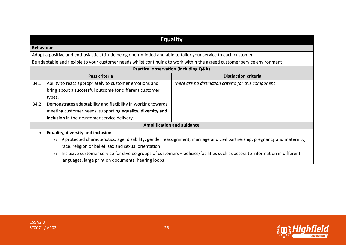|      | <b>Equality</b>                                                                                                                        |                                                                                                                             |  |
|------|----------------------------------------------------------------------------------------------------------------------------------------|-----------------------------------------------------------------------------------------------------------------------------|--|
|      | <b>Behaviour</b>                                                                                                                       |                                                                                                                             |  |
|      | Adopt a positive and enthusiastic attitude being open-minded and able to tailor your service to each customer                          |                                                                                                                             |  |
|      | Be adaptable and flexible to your customer needs whilst continuing to work within the agreed customer service environment              |                                                                                                                             |  |
|      |                                                                                                                                        | <b>Practical observation (including Q&amp;A)</b>                                                                            |  |
|      | <b>Distinction criteria</b><br>Pass criteria                                                                                           |                                                                                                                             |  |
| B4.1 | Ability to react appropriately to customer emotions and                                                                                | There are no distinction criteria for this component                                                                        |  |
|      | bring about a successful outcome for different customer                                                                                |                                                                                                                             |  |
|      | types.                                                                                                                                 |                                                                                                                             |  |
| B4.2 | Demonstrates adaptability and flexibility in working towards                                                                           |                                                                                                                             |  |
|      | meeting customer needs, supporting equality, diversity and                                                                             |                                                                                                                             |  |
|      | inclusion in their customer service delivery.                                                                                          |                                                                                                                             |  |
|      |                                                                                                                                        | <b>Amplification and guidance</b>                                                                                           |  |
|      | <b>Equality, diversity and inclusion</b>                                                                                               |                                                                                                                             |  |
|      | 9 protected characteristics: age, disability, gender reassignment, marriage and civil partnership, pregnancy and maternity,<br>$\circ$ |                                                                                                                             |  |
|      | race, religion or belief, sex and sexual orientation                                                                                   |                                                                                                                             |  |
|      | $\circ$                                                                                                                                | Inclusive customer service for diverse groups of customers – policies/facilities such as access to information in different |  |
|      | languages, large print on documents, hearing loops                                                                                     |                                                                                                                             |  |

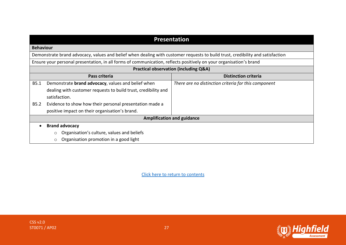|                  | <b>Presentation</b>                                                                                                            |                                                      |  |
|------------------|--------------------------------------------------------------------------------------------------------------------------------|------------------------------------------------------|--|
| <b>Behaviour</b> |                                                                                                                                |                                                      |  |
|                  | Demonstrate brand advocacy, values and belief when dealing with customer requests to build trust, credibility and satisfaction |                                                      |  |
|                  | Ensure your personal presentation, in all forms of communication, reflects positively on your organisation's brand             |                                                      |  |
|                  |                                                                                                                                | <b>Practical observation (including Q&amp;A)</b>     |  |
|                  | Pass criteria                                                                                                                  | <b>Distinction criteria</b>                          |  |
| B5.1             | Demonstrate brand advocacy, values and belief when                                                                             | There are no distinction criteria for this component |  |
|                  | dealing with customer requests to build trust, credibility and                                                                 |                                                      |  |
|                  | satisfaction.                                                                                                                  |                                                      |  |
| <b>B5.2</b>      | Evidence to show how their personal presentation made a                                                                        |                                                      |  |
|                  | positive impact on their organisation's brand.                                                                                 |                                                      |  |
|                  |                                                                                                                                | <b>Amplification and guidance</b>                    |  |
|                  | <b>Brand advocacy</b>                                                                                                          |                                                      |  |
|                  | Organisation's culture, values and beliefs<br>$\circ$                                                                          |                                                      |  |
|                  | Organisation promotion in a good light<br>$\circ$                                                                              |                                                      |  |

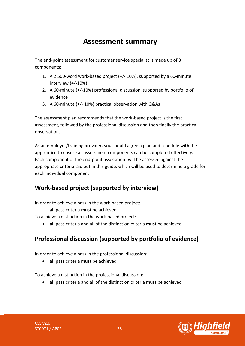# **Assessment summary**

<span id="page-27-0"></span>The end-point assessment for customer service specialist is made up of 3 components:

- 1. A 2,500-word work-based project (+/- 10%), supported by a 60-minute interview (+/-10%)
- 2. A 60-minute (+/-10%) professional discussion, supported by portfolio of evidence
- 3. A 60-minute (+/- 10%) practical observation with Q&As

The assessment plan recommends that the work-based project is the first assessment, followed by the professional discussion and then finally the practical observation.

As an employer/training provider, you should agree a plan and schedule with the apprentice to ensure all assessment components can be completed effectively. Each component of the end-point assessment will be assessed against the appropriate criteria laid out in this guide, which will be used to determine a grade for each individual component.

# **Work-based project (supported by interview)**

In order to achieve a pass in the work-based project:

**all** pass criteria **must** be achieved

To achieve a distinction in the work-based project:

• **all** pass criteria and all of the distinction criteria **must** be achieved

# **Professional discussion (supported by portfolio of evidence)**

In order to achieve a pass in the professional discussion:

• **all** pass criteria **must** be achieved

To achieve a distinction in the professional discussion:

• **all** pass criteria and all of the distinction criteria **must** be achieved

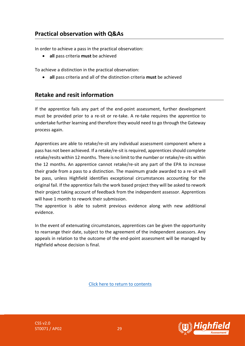In order to achieve a pass in the practical observation:

• **all** pass criteria **must** be achieved

To achieve a distinction in the practical observation:

• **all** pass criteria and all of the distinction criteria **must** be achieved

### **Retake and resit information**

If the apprentice fails any part of the end-point assessment, further development must be provided prior to a re-sit or re-take. A re-take requires the apprentice to undertake further learning and therefore they would need to go through the Gateway process again.

Apprentices are able to retake/re-sit any individual assessment component where a pass has not been achieved. If a retake/re-sit is required, apprentices should complete retake/resits within 12 months. There is no limit to the number or retake/re-sits within the 12 months. An apprentice cannot retake/re-sit any part of the EPA to increase their grade from a pass to a distinction. The maximum grade awarded to a re-sit will be pass, unless Highfield identifies exceptional circumstances accounting for the original fail. If the apprentice fails the work based project they will be asked to rework their project taking account of feedback from the independent assessor. Apprentices will have 1 month to rework their submission.

The apprentice is able to submit previous evidence along with new additional evidence.

In the event of extenuating circumstances, apprentices can be given the opportunity to rearrange their date, subject to the agreement of the independent assessors. Any appeals in relation to the outcome of the end-point assessment will be managed by Highfield whose decision is final.

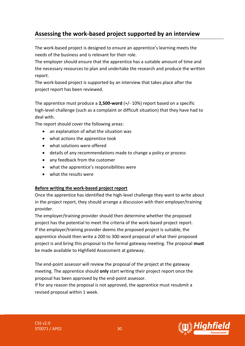# <span id="page-29-0"></span>**Assessing the work-based project supported by an interview**

The work-based project is designed to ensure an apprentice's learning meets the needs of the business and is relevant for their role.

The employer should ensure that the apprentice has a suitable amount of time and the necessary resources to plan and undertake the research and produce the written report.

The work-based project is supported by an interview that takes place after the project report has been reviewed.

The apprentice must produce a **2,500-word** (+/- 10%) report based on a specific high-level challenge (such as a complaint or difficult situation) that they have had to deal with.

The report should cover the following areas:

- an explanation of what the situation was
- what actions the apprentice took
- what solutions were offered
- details of any recommendations made to change a policy or process
- any feedback from the customer
- what the apprentice's responsibilities were
- what the results were

#### **Before writing the work-based project report**

Once the apprentice has identified the high-level challenge they want to write about in the project report, they should arrange a discussion with their employer/training provider.

The employer/training provider should then determine whether the proposed project has the potential to meet the criteria of the work-based project report. If the employer/training provider deems the proposed project is suitable, the apprentice should then write a 200 to 300-word proposal of what their proposed project is and bring this proposal to the formal gateway meeting. The proposal **must** be made available to Highfield Assessment at gateway.

The end-point assessor will review the proposal of the project at the gateway meeting. The apprentice should **only** start writing their project report once the proposal has been approved by the end-point assessor.

If for any reason the proposal is not approved, the apprentice must resubmit a revised proposal within 1 week.



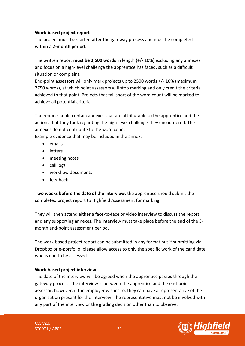#### **Work-based project report**

The project must be started **after** the gateway process and must be completed **within a 2-month period**.

The written report **must be 2,500 words** in length (+/- 10%) excluding any annexes and focus on a high-level challenge the apprentice has faced, such as a difficult situation or complaint.

End-point assessors will only mark projects up to 2500 words +/- 10% (maximum 2750 words), at which point assessors will stop marking and only credit the criteria achieved to that point. Projects that fall short of the word count will be marked to achieve all potential criteria.

The report should contain annexes that are attributable to the apprentice and the actions that they took regarding the high-level challenge they encountered. The annexes do not contribute to the word count.

Example evidence that may be included in the annex:

- emails
- letters
- meeting notes
- call logs
- workflow documents
- feedback

**Two weeks before the date of the interview**, the apprentice should submit the completed project report to Highfield Assessment for marking.

They will then attend either a face-to-face or video interview to discuss the report and any supporting annexes. The interview must take place before the end of the 3 month end-point assessment period.

The work-based project report can be submitted in any format but if submitting via Dropbox or e-portfolio, please allow access to only the specific work of the candidate who is due to be assessed.

#### **Work-based project interview**

The date of the interview will be agreed when the apprentice passes through the gateway process. The interview is between the apprentice and the end-point assessor, however, if the employer wishes to, they can have a representative of the organisation present for the interview. The representative must not be involved with any part of the interview or the grading decision other than to observe.

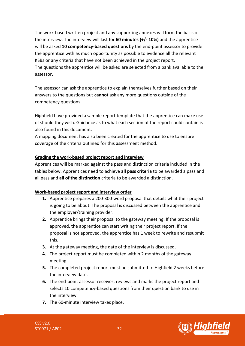The work-based written project and any supporting annexes will form the basis of the interview. The interview will last for **60 minutes (+/- 10%)** and the apprentice will be asked **10 competency-based questions** by the end-point assessor to provide the apprentice with as much opportunity as possible to evidence all the relevant KSBs or any criteria that have not been achieved in the project report. The questions the apprentice will be asked are selected from a bank available to the assessor.

The assessor can ask the apprentice to explain themselves further based on their answers to the questions but **cannot** ask any more questions outside of the competency questions.

Highfield have provided a sample report template that the apprentice can make use of should they wish. Guidance as to what each section of the report could contain is also found in this document.

A mapping document has also been created for the apprentice to use to ensure coverage of the criteria outlined for this assessment method.

#### **Grading the work-based project report and interview**

Apprentices will be marked against the pass and distinction criteria included in the tables below. Apprentices need to achieve **all pass criteria** to be awarded a pass and all pass and **all of the distinction** criteria to be awarded a distinction.

#### **Work-based project report and interview order**

- **1.** Apprentice prepares a 200-300-word proposal that details what their project is going to be about. The proposal is discussed between the apprentice and the employer/training provider.
- **2.** Apprentice brings their proposal to the gateway meeting. If the proposal is approved, the apprentice can start writing their project report. If the proposal is not approved, the apprentice has 1 week to rewrite and resubmit this.
- **3.** At the gateway meeting, the date of the interview is discussed.
- **4.** The project report must be completed within 2 months of the gateway meeting.
- **5.** The completed project report must be submitted to Highfield 2 weeks before the interview date.
- **6.** The end-point assessor receives, reviews and marks the project report and selects 10 competency-based questions from their question bank to use in the interview.
- **7.** The 60-minute interview takes place.

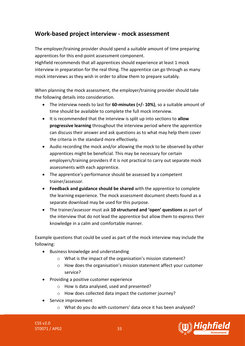### **Work-based project interview - mock assessment**

The employer/training provider should spend a suitable amount of time preparing apprentices for this end-point assessment component.

Highfield recommends that all apprentices should experience at least 1 mock interview in preparation for the real thing. The apprentice can go through as many mock interviews as they wish in order to allow them to prepare suitably.

When planning the mock assessment, the employer/training provider should take the following details into consideration.

- The interview needs to last for **60-minutes (+/- 10%)**, so a suitable amount of time should be available to complete the full mock interview.
- It is recommended that the interview is split up into sections to **allow progressive learning** throughout the interview period where the apprentice can discuss their answer and ask questions as to what may help them cover the criteria in the standard more effectively.
- Audio recording the mock and/or allowing the mock to be observed by other apprentices might be beneficial. This may be necessary for certain employers/training providers if it is not practical to carry out separate mock assessments with each apprentice.
- The apprentice's performance should be assessed by a competent trainer/assessor.
- **Feedback and guidance should be shared** with the apprentice to complete the learning experience. The mock assessment document sheets found as a separate download may be used for this purpose.
- The trainer/assessor must ask **10 structured and 'open' questions** as part of the interview that do not lead the apprentice but allow them to express their knowledge in a calm and comfortable manner.

Example questions that could be used as part of the mock interview may include the following:

- Business knowledge and understanding
	- o What is the impact of the organisation's mission statement?
	- o How does the organisation's mission statement affect your customer service?
- Providing a positive customer experience
	- o How is data analysed, used and presented?
	- o How does collected data impact the customer journey?
- Service improvement
	- o What do you do with customers' data once it has been analysed?

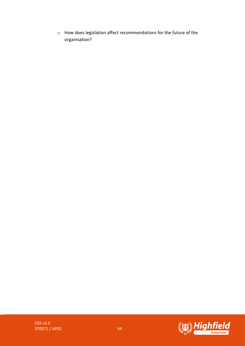o How does legislation affect recommendations for the future of the organisation?



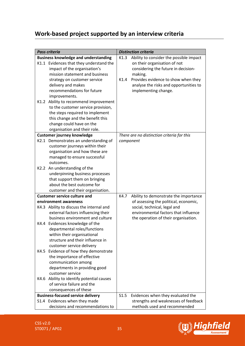# **Work-based project supported by an interview criteria**

|      | <b>Pass criteria</b>                                                    |           | <b>Distinction criteria</b>                |
|------|-------------------------------------------------------------------------|-----------|--------------------------------------------|
|      | <b>Business knowledge and understanding</b>                             | K1.3      | Ability to consider the possible impact    |
|      | K1.1 Evidences that they understand the                                 |           | on their organisation of not               |
|      | impact of the organisation's                                            |           | considering the future in decision-        |
|      | mission statement and business                                          |           | making.                                    |
|      | strategy on customer service                                            | K1.4      | Provides evidence to show when they        |
|      | delivery and makes                                                      |           | analyse the risks and opportunities to     |
|      | recommendations for future                                              |           | implementing change.                       |
|      | improvements.                                                           |           |                                            |
|      | K1.2 Ability to recommend improvement                                   |           |                                            |
|      | to the customer service provision,                                      |           |                                            |
|      | the steps required to implement                                         |           |                                            |
|      | this change and the benefit this                                        |           |                                            |
|      | change could have on the                                                |           |                                            |
|      | organisation and their role.                                            |           |                                            |
|      | <b>Customer journey knowledge</b>                                       |           | There are no distinction criteria for this |
|      | K2.1 Demonstrates an understanding of                                   | component |                                            |
|      | customer journeys within their                                          |           |                                            |
|      | organisation and how these are                                          |           |                                            |
|      | managed to ensure successful                                            |           |                                            |
|      | outcomes.                                                               |           |                                            |
| K2.2 |                                                                         |           |                                            |
|      | An understanding of the<br>underpinning business processes              |           |                                            |
|      |                                                                         |           |                                            |
|      | that support them on bringing<br>about the best outcome for             |           |                                            |
|      |                                                                         |           |                                            |
|      | customer and their organisation.<br><b>Customer service culture and</b> | K4.7      |                                            |
|      | environment awareness                                                   |           | Ability to demonstrate the importance      |
|      |                                                                         |           | of assessing the political, economic,      |
|      | K4.3 Ability to discuss the internal and                                |           | social, technical, legal and               |
|      | external factors influencing their<br>business environment and culture  |           | environmental factors that influence       |
|      |                                                                         |           | the operation of their organisation.       |
| K4.4 | Evidences knowledge of the                                              |           |                                            |
|      | departmental roles/functions                                            |           |                                            |
|      | within their organisational                                             |           |                                            |
|      | structure and their influence in                                        |           |                                            |
|      | customer service delivery                                               |           |                                            |
| K4.5 | Evidence of how they demonstrate                                        |           |                                            |
|      | the importance of effective                                             |           |                                            |
|      | communication among                                                     |           |                                            |
|      | departments in providing good                                           |           |                                            |
|      | customer service                                                        |           |                                            |
|      | K4.6 Ability to identify potential causes                               |           |                                            |
|      | of service failure and the                                              |           |                                            |
|      | consequences of these                                                   |           |                                            |
|      | <b>Business-focused service delivery</b>                                | S1.5      | Evidences when they evaluated the          |
|      | S1.4 Evidences when they made                                           |           | strengths and weaknesses of feedback       |
|      | decisions and recommendations to                                        |           | methods used and recommended               |

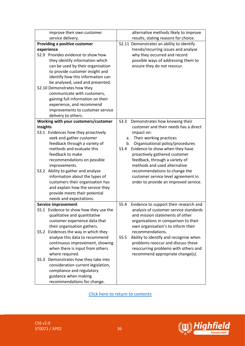| improve their own customer              | alternative methods likely to improve          |
|-----------------------------------------|------------------------------------------------|
| service delivery.                       | results, stating reasons for choice.           |
| Providing a positive customer           | S2.11 Demonstrates an ability to identify      |
| experience                              | trends/recurring issues and analyse            |
| S2.9 Provides evidence to show how      | why they occurred and record                   |
| they identify information which         | possible ways of addressing them to            |
| can be used by their organisation       | ensure they do not reoccur.                    |
| to provide customer insight and         |                                                |
| identify how this information can       |                                                |
| be analysed, used and presented.        |                                                |
| S2.10 Demonstrates how they             |                                                |
| communicate with customers,             |                                                |
| gaining full information on their       |                                                |
| experience, and recommend               |                                                |
| improvements to customer service        |                                                |
| delivery to others.                     |                                                |
| Working with your customers/customer    | S3.3<br>Demonstrates how knowing their         |
| insights                                | customer and their needs has a direct          |
| S3.1 Evidences how they proactively     | impact on:                                     |
| seek and gather customer                | Their working practices<br>а.                  |
| feedback through a variety of           | Organisational policy/procedures<br>b.         |
| methods and evaluate this               | S3.4<br>Evidence to show when they have        |
| feedback to make                        | proactively gathered customer                  |
| recommendations on possible             | feedback, through a variety of                 |
| improvements.                           | methods and used alternative                   |
| Ability to gather and analyse<br>S3.2   | recommendations to change the                  |
| information about the types of          | customer service level agreement in            |
| customers their organisation has        | order to provide an improved service.          |
| and explain how the service they        |                                                |
| provide meets their potential           |                                                |
| needs and expectations.                 |                                                |
| <b>Service improvement</b>              | S5.4<br>Evidence to support their research and |
| S5.1 Evidence to show how they use the  | analysis of customer service standards         |
| qualitative and quantitative            | and mission statements of other                |
| customer experience data that           | organisations in comparison to their           |
| their organisation gathers.             | own organisation's to inform their             |
| Evidences the way in which they<br>S5.2 | recommendations.                               |
| analyse this data to recommend          | S5.5<br>Ability to identify and recognise when |
| continuous improvement, showing         | problems reoccur and discuss these             |
| when there is input from others         | reoccurring problems with others and           |
| where required.                         | recommend appropriate change(s).               |
| Demonstrates how they take into<br>S5.3 |                                                |
| consideration current legislation,      |                                                |
| compliance and regulatory               |                                                |
| guidance when making                    |                                                |
| recommendations for change.             |                                                |

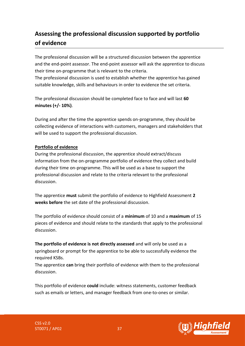# <span id="page-36-0"></span>**Assessing the professional discussion supported by portfolio of evidence**

The professional discussion will be a structured discussion between the apprentice and the end-point assessor. The end-point assessor will ask the apprentice to discuss their time on-programme that is relevant to the criteria.

The professional discussion is used to establish whether the apprentice has gained suitable knowledge, skills and behaviours in order to evidence the set criteria.

The professional discussion should be completed face to face and will last **60 minutes (+/- 10%)**.

During and after the time the apprentice spends on-programme, they should be collecting evidence of interactions with customers, managers and stakeholders that will be used to support the professional discussion.

#### **Portfolio of evidence**

During the professional discussion, the apprentice should extract/discuss information from the on-programme portfolio of evidence they collect and build during their time on-programme. This will be used as a base to support the professional discussion and relate to the criteria relevant to the professional discussion.

The apprentice **must** submit the portfolio of evidence to Highfield Assessment **2 weeks before** the set date of the professional discussion.

The portfolio of evidence should consist of a **minimum** of 10 and a **maximum** of 15 pieces of evidence and should relate to the standards that apply to the professional discussion.

**The portfolio of evidence is not directly assessed** and will only be used as a springboard or prompt for the apprentice to be able to successfully evidence the required KSBs.

The apprentice **can** bring their portfolio of evidence with them to the professional discussion.

This portfolio of evidence **could** include: witness statements, customer feedback such as emails or letters, and manager feedback from one-to-ones or similar.

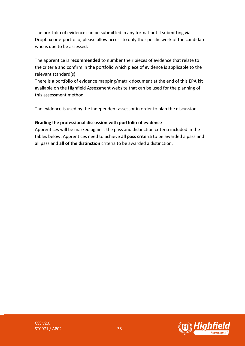The portfolio of evidence can be submitted in any format but if submitting via Dropbox or e-portfolio, please allow access to only the specific work of the candidate who is due to be assessed.

The apprentice is **recommended** to number their pieces of evidence that relate to the criteria and confirm in the portfolio which piece of evidence is applicable to the relevant standard(s).

There is a portfolio of evidence mapping/matrix document at the end of this EPA kit available on the Highfield Assessment website that can be used for the planning of this assessment method.

The evidence is used by the independent assessor in order to plan the discussion.

#### **Grading the professional discussion with portfolio of evidence**

Apprentices will be marked against the pass and distinction criteria included in the tables below. Apprentices need to achieve **all pass criteria** to be awarded a pass and all pass and **all of the distinction** criteria to be awarded a distinction.

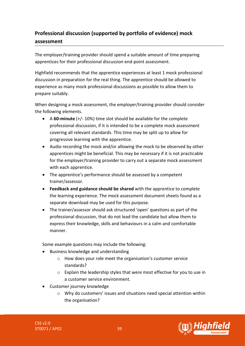# **Professional discussion (supported by portfolio of evidence) mock assessment**

The employer/training provider should spend a suitable amount of time preparing apprentices for their professional discussion end-point assessment.

Highfield recommends that the apprentice experiences at least 1 mock professional discussion in preparation for the real thing. The apprentice should be allowed to experience as many mock professional discussions as possible to allow them to prepare suitably.

When designing a mock assessment, the employer/training provider should consider the following elements.

- A **60-minute** (+/- 10%) time slot should be available for the complete professional discussion, if it is intended to be a complete mock assessment covering all relevant standards. This time may be split up to allow for progressive learning with the apprentice.
- Audio recording the mock and/or allowing the mock to be observed by other apprentices might be beneficial. This may be necessary if it is not practicable for the employer/training provider to carry out a separate mock assessment with each apprentice.
- The apprentice's performance should be assessed by a competent trainer/assessor.
- **Feedback and guidance should be shared** with the apprentice to complete the learning experience. The mock assessment document sheets found as a separate download may be used for this purpose.
- The trainer/assessor should ask structured 'open' questions as part of the professional discussion, that do not lead the candidate but allow them to express their knowledge, skills and behaviours in a calm and comfortable manner.

Some example questions may include the following:

- Business knowledge and understanding
	- o How does your role meet the organisation's customer service standards?
	- $\circ$  Explain the leadership styles that were most effective for you to use in a customer service environment.
- Customer journey knowledge
	- o Why do customers' issues and situations need special attention within the organisation?



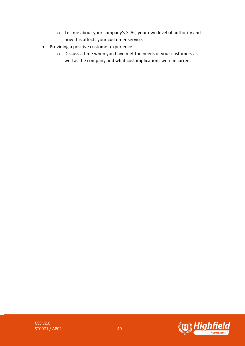- o Tell me about your company's SLAs, your own level of authority and how this affects your customer service.
- Providing a positive customer experience
	- o Discuss a time when you have met the needs of your customers as well as the company and what cost implications were incurred.

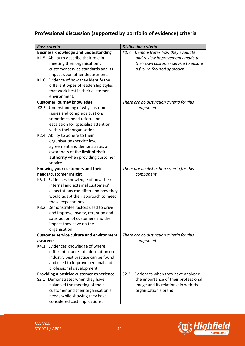# **Professional discussion (supported by portfolio of evidence) criteria**

|      | <b>Pass criteria</b>                            | <b>Distinction criteria</b>                |
|------|-------------------------------------------------|--------------------------------------------|
|      | <b>Business knowledge and understanding</b>     | K1.7<br>Demonstrates how they evaluate     |
|      | K1.5 Ability to describe their role in          | and review improvements made to            |
|      | meeting their organisation's                    | their own customer service to ensure       |
|      | customer service standards and its              | a future-focused approach.                 |
|      | impact upon other departments.                  |                                            |
| K1.6 | Evidence of how they identify the               |                                            |
|      | different types of leadership styles            |                                            |
|      | that work best in their customer                |                                            |
|      | environment.                                    |                                            |
|      | <b>Customer journey knowledge</b>               | There are no distinction criteria for this |
|      | K2.3 Understanding of why customer              | component                                  |
|      | issues and complex situations                   |                                            |
|      | sometimes need referral or                      |                                            |
|      | escalation for specialist attention             |                                            |
|      | within their organisation.                      |                                            |
|      | K2.4 Ability to adhere to their                 |                                            |
|      | organisations service level                     |                                            |
|      | agreement and demonstrates an                   |                                            |
|      | awareness of the limit of their                 |                                            |
|      | authority when providing customer               |                                            |
|      | service.                                        |                                            |
|      | Knowing your customers and their                | There are no distinction criteria for this |
|      | needs/customer insight                          | component                                  |
|      | K3.1 Evidences knowledge of how their           |                                            |
|      | internal and external customers'                |                                            |
|      | expectations can differ and how they            |                                            |
|      | would adapt their approach to meet              |                                            |
|      | those expectations.                             |                                            |
| K3.2 | Demonstrates factors used to drive              |                                            |
|      | and improve loyalty, retention and              |                                            |
|      | satisfaction of customers and the               |                                            |
|      | impact they have on the                         |                                            |
|      | organisation.                                   |                                            |
|      | <b>Customer service culture and environment</b> | There are no distinction criteria for this |
|      | awareness                                       | component                                  |
|      | K4.1 Evidences knowledge of where               |                                            |
|      | different sources of information on             |                                            |
|      | industry best practice can be found             |                                            |
|      | and used to improve personal and                |                                            |
|      | professional development.                       |                                            |
|      | Providing a positive customer experience        | S2.2<br>Evidences when they have analysed  |
|      | S2.1 Demonstrates when they have                | the importance of their professional       |
|      | balanced the meeting of their                   | image and its relationship with the        |
|      | customer and their organisation's               | organisation's brand.                      |
|      | needs while showing they have                   |                                            |
|      | considered cost implications.                   |                                            |

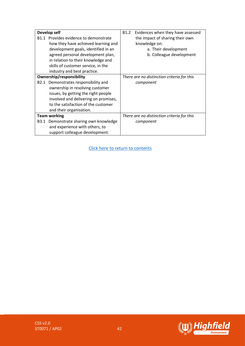| Develop self             |                                       | B <sub>1.2</sub> | Evidences when they have assessed          |
|--------------------------|---------------------------------------|------------------|--------------------------------------------|
|                          | B1.1 Provides evidence to demonstrate |                  | the impact of sharing their own            |
|                          | how they have achieved learning and   |                  | knowledge on:                              |
|                          | development goals, identified in an   |                  | a. Their development                       |
|                          | agreed personal development plan,     |                  | b. Colleague development                   |
|                          | in relation to their knowledge and    |                  |                                            |
|                          | skills of customer service, in the    |                  |                                            |
|                          | industry and best practice.           |                  |                                            |
| Ownership/responsibility |                                       |                  | There are no distinction criteria for this |
| B2.1                     | Demonstrates responsibility and       |                  | component                                  |
|                          | ownership in resolving customer       |                  |                                            |
|                          | issues, by getting the right people   |                  |                                            |
|                          | involved and delivering on promises,  |                  |                                            |
|                          | to the satisfaction of the customer   |                  |                                            |
|                          | and their organisation.               |                  |                                            |
| <b>Team working</b>      |                                       |                  | There are no distinction criteria for this |
| B3.1                     | Demonstrate sharing own knowledge     |                  | component                                  |
|                          | and experience with others, to        |                  |                                            |
|                          | support colleague development.        |                  |                                            |

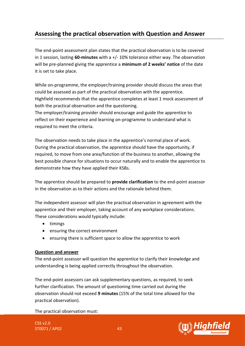# <span id="page-42-0"></span>**Assessing the practical observation with Question and Answer**

The end-point assessment plan states that the practical observation is to be covered in 1 session, lasting **60-minutes** with a +/- 10% tolerance either way. The observation will be pre-planned giving the apprentice a **minimum of 2 weeks' notice** of the date it is set to take place.

While on-programme, the employer/training provider should discuss the areas that could be assessed as part of the practical observation with the apprentice. Highfield recommends that the apprentice completes at least 1 mock assessment of both the practical observation and the questioning.

The employer/training provider should encourage and guide the apprentice to reflect on their experience and learning on-programme to understand what is required to meet the criteria.

The observation needs to take place in the apprentice's normal place of work. During the practical observation, the apprentice should have the opportunity, if required, to move from one area/function of the business to another, allowing the best possible chance for situations to occur naturally and to enable the apprentice to demonstrate how they have applied their KSBs.

The apprentice should be prepared to **provide clarification** to the end-point assessor in the observation as to their actions and the rationale behind them.

The independent assessor will plan the practical observation in agreement with the apprentice and their employer, taking account of any workplace considerations. These considerations would typically include:

- timings
- ensuring the correct environment
- ensuring there is sufficient space to allow the apprentice to work

#### **Question and answer**

The end-point assessor will question the apprentice to clarify their knowledge and understanding is being applied correctly throughout the observation.

The end-point assessors can ask supplementary questions, as required, to seek further clarification. The amount of questioning time carried out during the observation should not exceed **9 minutes** (15% of the total time allowed for the practical observation).

The practical observation must:



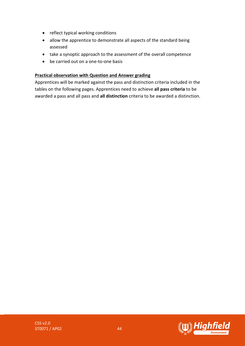- reflect typical working conditions
- allow the apprentice to demonstrate all aspects of the standard being assessed
- take a synoptic approach to the assessment of the overall competence
- be carried out on a one-to-one basis

#### **Practical observation with Question and Answer grading**

Apprentices will be marked against the pass and distinction criteria included in the tables on the following pages. Apprentices need to achieve **all pass criteria** to be awarded a pass and all pass and **all distinction** criteria to be awarded a distinction.



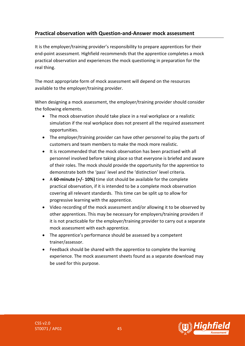### **Practical observation with Question-and-Answer mock assessment**

It is the employer/training provider's responsibility to prepare apprentices for their end-point assessment. Highfield recommends that the apprentice completes a mock practical observation and experiences the mock questioning in preparation for the real thing.

The most appropriate form of mock assessment will depend on the resources available to the employer/training provider.

When designing a mock assessment, the employer/training provider should consider the following elements.

- The mock observation should take place in a real workplace or a realistic simulation if the real workplace does not present all the required assessment opportunities.
- The employer/training provider can have other personnel to play the parts of customers and team members to make the mock more realistic.
- It is recommended that the mock observation has been practised with all personnel involved before taking place so that everyone is briefed and aware of their roles. The mock should provide the opportunity for the apprentice to demonstrate both the 'pass' level and the 'distinction' level criteria.
- A **60-minute (+/- 10%)** time slot should be available for the complete practical observation, if it is intended to be a complete mock observation covering all relevant standards. This time can be split up to allow for progressive learning with the apprentice.
- Video recording of the mock assessment and/or allowing it to be observed by other apprentices. This may be necessary for employers/training providers if it is not practicable for the employer/training provider to carry out a separate mock assessment with each apprentice.
- The apprentice's performance should be assessed by a competent trainer/assessor.
- Feedback should be shared with the apprentice to complete the learning experience. The mock assessment sheets found as a separate download may be used for this purpose.

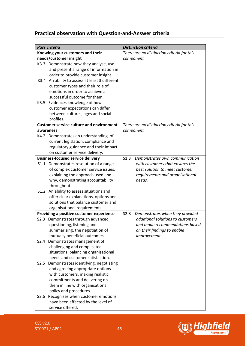### **Practical observation with Question-and-Answer criteria**

| <b>Pass criteria</b>             |                                                 | <b>Distinction criteria</b>                |
|----------------------------------|-------------------------------------------------|--------------------------------------------|
| Knowing your customers and their |                                                 | There are no distinction criteria for this |
| needs/customer insight           |                                                 | component                                  |
|                                  | K3.3 Demonstrate how they analyse, use          |                                            |
|                                  | and present a range of information in           |                                            |
|                                  | order to provide customer insight.              |                                            |
| K3.4                             | An ability to assess at least 3 different       |                                            |
|                                  | customer types and their role of                |                                            |
|                                  | emotions in order to achieve a                  |                                            |
|                                  | successful outcome for them.                    |                                            |
|                                  | K3.5 Evidences knowledge of how                 |                                            |
|                                  | customer expectations can differ                |                                            |
|                                  | between cultures, ages and social               |                                            |
|                                  | profiles.                                       |                                            |
|                                  | <b>Customer service culture and environment</b> | There are no distinction criteria for this |
|                                  | awareness                                       | component                                  |
|                                  | K4.2 Demonstrates an understanding of           |                                            |
|                                  | current legislation, compliance and             |                                            |
|                                  | regulatory guidance and their impact            |                                            |
|                                  | on customer service delivery.                   |                                            |
|                                  | <b>Business-focused service delivery</b>        | S1.3<br>Demonstrates own communication     |
|                                  | S1.1 Demonstrates resolution of a range         | with customers that ensures the            |
|                                  | of complex customer service issues,             | best solution to meet customer             |
|                                  | explaining the approach used and                | requirements and organisational            |
|                                  | why, demonstrating accountability               | needs.                                     |
|                                  | throughout.                                     |                                            |
|                                  | S1.2 An ability to assess situations and        |                                            |
|                                  | offer clear explanations, options and           |                                            |
|                                  | solutions that balance customer and             |                                            |
|                                  | organisational requirements.                    |                                            |
|                                  | Providing a positive customer experience        | Demonstrates when they provided<br>S2.8    |
|                                  | S2.3 Demonstrates through advanced              | additional solutions to customers          |
|                                  | questioning, listening and                      | and made recommendations based             |
|                                  | summarising, the negotiation of                 | on their findings to enable                |
|                                  | mutually beneficial outcomes.                   | improvement.                               |
| S <sub>2.4</sub>                 | Demonstrates management of                      |                                            |
|                                  | challenging and complicated                     |                                            |
|                                  | situations, balancing organisational            |                                            |
|                                  | needs and customer satisfaction.                |                                            |
| S2.5                             | Demonstrates identifying, negotiating           |                                            |
|                                  | and agreeing appropriate options                |                                            |
|                                  | with customers, making realistic                |                                            |
|                                  | commitments and delivering on                   |                                            |
|                                  | them in line with organisational                |                                            |
|                                  | policy and procedures.                          |                                            |
| S2.6                             | Recognises when customer emotions               |                                            |
|                                  | have been affected by the level of              |                                            |
|                                  | service offered.                                |                                            |



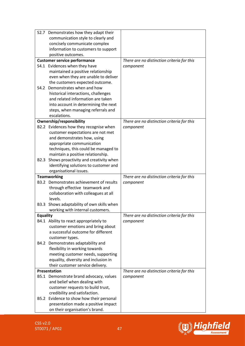|                  | S2.7 Demonstrates how they adapt their                            |                                            |
|------------------|-------------------------------------------------------------------|--------------------------------------------|
|                  | communication style to clearly and                                |                                            |
|                  | concisely communicate complex                                     |                                            |
|                  | information to customers to support                               |                                            |
|                  | positive outcomes.                                                |                                            |
|                  | <b>Customer service performance</b>                               | There are no distinction criteria for this |
|                  | S4.1 Evidences when they have                                     | component                                  |
|                  | maintained a positive relationship                                |                                            |
|                  | even when they are unable to deliver                              |                                            |
|                  | the customers expected outcome.                                   |                                            |
| S4.2             | Demonstrates when and how                                         |                                            |
|                  | historical interactions, challenges                               |                                            |
|                  | and related information are taken                                 |                                            |
|                  | into account in determining the next                              |                                            |
|                  | steps, when managing referrals and                                |                                            |
|                  | escalations.                                                      |                                            |
|                  | Ownership/responsibility                                          | There are no distinction criteria for this |
|                  | B2.2 Evidences how they recognise when                            | component                                  |
|                  | customer expectations are not met<br>and demonstrates how, using  |                                            |
|                  | appropriate communication                                         |                                            |
|                  | techniques, this could be managed to                              |                                            |
|                  | maintain a positive relationship.                                 |                                            |
| B <sub>2.3</sub> | Shows proactivity and creativity when                             |                                            |
|                  | identifying solutions to customer and                             |                                            |
|                  | organisational issues.                                            |                                            |
|                  | <b>Teamworking</b>                                                | There are no distinction criteria for this |
|                  | B3.2 Demonstrates achievement of results                          | component                                  |
|                  | through effective teamwork and                                    |                                            |
|                  | collaboration with colleagues at all                              |                                            |
|                  | levels.                                                           |                                            |
| B3.3             | Shows adaptability of own skills when                             |                                            |
|                  | working with internal customers.                                  |                                            |
| <b>Equality</b>  |                                                                   | There are no distinction criteria for this |
|                  | B4.1 Ability to react appropriately to                            | component                                  |
|                  | customer emotions and bring about                                 |                                            |
|                  | a successful outcome for different                                |                                            |
|                  | customer types.                                                   |                                            |
| B4.2             | Demonstrates adaptability and                                     |                                            |
|                  | flexibility in working towards                                    |                                            |
|                  | meeting customer needs, supporting                                |                                            |
|                  | equality, diversity and inclusion in                              |                                            |
|                  | their customer service delivery.                                  |                                            |
|                  | Presentation<br>B5.1 Demonstrate brand advocacy, values           | There are no distinction criteria for this |
|                  |                                                                   | component                                  |
|                  | and belief when dealing with<br>customer requests to build trust, |                                            |
|                  | credibility and satisfaction.                                     |                                            |
| B5.2             | Evidence to show how their personal                               |                                            |
|                  | presentation made a positive impact                               |                                            |
|                  | on their organisation's brand.                                    |                                            |
|                  |                                                                   |                                            |